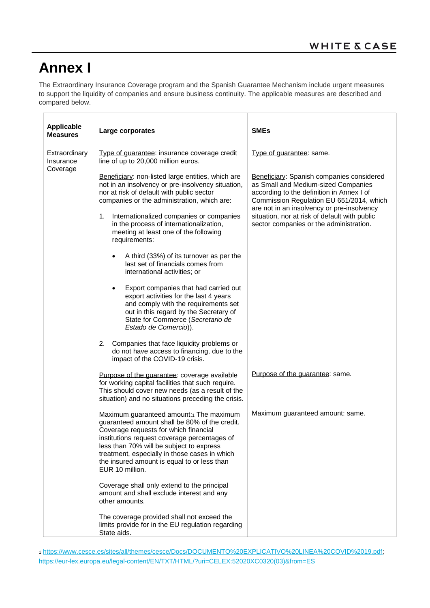## **Annex I**

The Extraordinary Insurance Coverage program and the Spanish Guarantee Mechanism include urgent measures to support the liquidity of companies and ensure business continuity. The applicable measures are described and compared below.

| <b>Applicable</b><br><b>Measures</b>   | Large corporates                                                                                                                                                                                                                                                                                                                                | <b>SMEs</b>                                                                                                                                                                                                                                                                                                         |
|----------------------------------------|-------------------------------------------------------------------------------------------------------------------------------------------------------------------------------------------------------------------------------------------------------------------------------------------------------------------------------------------------|---------------------------------------------------------------------------------------------------------------------------------------------------------------------------------------------------------------------------------------------------------------------------------------------------------------------|
| Extraordinary<br>Insurance<br>Coverage | Type of guarantee: insurance coverage credit<br>line of up to 20,000 million euros.                                                                                                                                                                                                                                                             | Type of guarantee: same.                                                                                                                                                                                                                                                                                            |
|                                        | Beneficiary: non-listed large entities, which are<br>not in an insolvency or pre-insolvency situation,<br>nor at risk of default with public sector<br>companies or the administration, which are:<br>Internationalized companies or companies<br>1.<br>in the process of internationalization,                                                 | Beneficiary: Spanish companies considered<br>as Small and Medium-sized Companies<br>according to the definition in Annex I of<br>Commission Regulation EU 651/2014, which<br>are not in an insolvency or pre-insolvency<br>situation, nor at risk of default with public<br>sector companies or the administration. |
|                                        | meeting at least one of the following<br>requirements:                                                                                                                                                                                                                                                                                          |                                                                                                                                                                                                                                                                                                                     |
|                                        | A third (33%) of its turnover as per the<br>last set of financials comes from<br>international activities; or                                                                                                                                                                                                                                   |                                                                                                                                                                                                                                                                                                                     |
|                                        | Export companies that had carried out<br>$\bullet$<br>export activities for the last 4 years<br>and comply with the requirements set<br>out in this regard by the Secretary of<br>State for Commerce (Secretario de<br>Estado de Comercio)).                                                                                                    |                                                                                                                                                                                                                                                                                                                     |
|                                        | 2.<br>Companies that face liquidity problems or<br>do not have access to financing, due to the<br>impact of the COVID-19 crisis.                                                                                                                                                                                                                |                                                                                                                                                                                                                                                                                                                     |
|                                        | Purpose of the guarantee: coverage available<br>for working capital facilities that such require.<br>This should cover new needs (as a result of the<br>situation) and no situations preceding the crisis.                                                                                                                                      | Purpose of the guarantee: same.                                                                                                                                                                                                                                                                                     |
|                                        | Maximum guaranteed amount: The maximum<br>guaranteed amount shall be 80% of the credit.<br>Coverage requests for which financial<br>institutions request coverage percentages of<br>less than 70% will be subject to express<br>treatment, especially in those cases in which<br>the insured amount is equal to or less than<br>EUR 10 million. | Maximum guaranteed amount: same.                                                                                                                                                                                                                                                                                    |
|                                        | Coverage shall only extend to the principal<br>amount and shall exclude interest and any<br>other amounts.                                                                                                                                                                                                                                      |                                                                                                                                                                                                                                                                                                                     |
|                                        | The coverage provided shall not exceed the<br>limits provide for in the EU regulation regarding<br>State aids.                                                                                                                                                                                                                                  |                                                                                                                                                                                                                                                                                                                     |

<sup>1</sup> [https://www.cesce.es/sites/all/themes/cesce/Docs/DOCUMENTO%20EXPLICATIVO%20LINEA%20COVID%2019.pdf;](https://www.cesce.es/sites/all/themes/cesce/Docs/DOCUMENTO%20EXPLICATIVO%20LINEA%20COVID%2019.pdf) [https://eur-lex.europa.eu/legal-content/EN/TXT/HTML/?uri=CELEX:52020XC0320\(03\)&from=ES](https://eur-lex.europa.eu/legal-content/EN/TXT/HTML/?uri=CELEX:52020XC0320(03)&from=ES)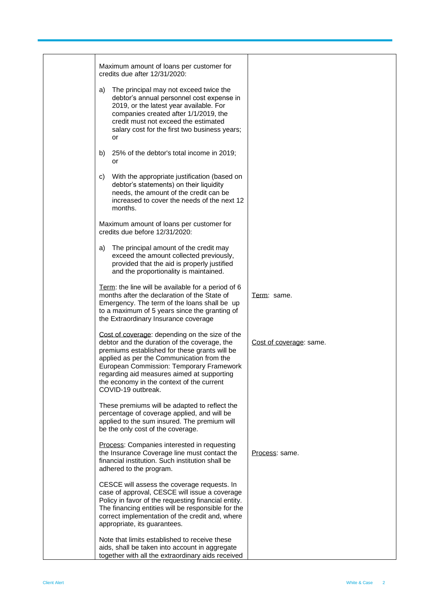| Maximum amount of loans per customer for<br>credits due after 12/31/2020:                                                                                                                                                                                                                                                                                 |                         |
|-----------------------------------------------------------------------------------------------------------------------------------------------------------------------------------------------------------------------------------------------------------------------------------------------------------------------------------------------------------|-------------------------|
| The principal may not exceed twice the<br>a)<br>debtor's annual personnel cost expense in<br>2019, or the latest year available. For<br>companies created after 1/1/2019, the<br>credit must not exceed the estimated<br>salary cost for the first two business years;<br>or                                                                              |                         |
| 25% of the debtor's total income in 2019;<br>b)<br>or                                                                                                                                                                                                                                                                                                     |                         |
| With the appropriate justification (based on<br>C)<br>debtor's statements) on their liquidity<br>needs, the amount of the credit can be<br>increased to cover the needs of the next 12<br>months.                                                                                                                                                         |                         |
| Maximum amount of loans per customer for<br>credits due before 12/31/2020:                                                                                                                                                                                                                                                                                |                         |
| The principal amount of the credit may<br>a)<br>exceed the amount collected previously,<br>provided that the aid is properly justified<br>and the proportionality is maintained.                                                                                                                                                                          |                         |
| Term: the line will be available for a period of 6<br>months after the declaration of the State of<br>Emergency. The term of the loans shall be up<br>to a maximum of 5 years since the granting of<br>the Extraordinary Insurance coverage                                                                                                               | Term: same.             |
| Cost of coverage: depending on the size of the<br>debtor and the duration of the coverage, the<br>premiums established for these grants will be<br>applied as per the Communication from the<br>European Commission: Temporary Framework<br>regarding aid measures aimed at supporting<br>the economy in the context of the current<br>COVID-19 outbreak. | Cost of coverage: same. |
| These premiums will be adapted to reflect the<br>percentage of coverage applied, and will be<br>applied to the sum insured. The premium will<br>be the only cost of the coverage.                                                                                                                                                                         |                         |
| Process: Companies interested in requesting<br>the Insurance Coverage line must contact the<br>financial institution. Such institution shall be<br>adhered to the program.                                                                                                                                                                                | Process: same.          |
| CESCE will assess the coverage requests. In<br>case of approval, CESCE will issue a coverage<br>Policy in favor of the requesting financial entity.<br>The financing entities will be responsible for the<br>correct implementation of the credit and, where<br>appropriate, its guarantees.                                                              |                         |
| Note that limits established to receive these<br>aids, shall be taken into account in aggregate<br>together with all the extraordinary aids received                                                                                                                                                                                                      |                         |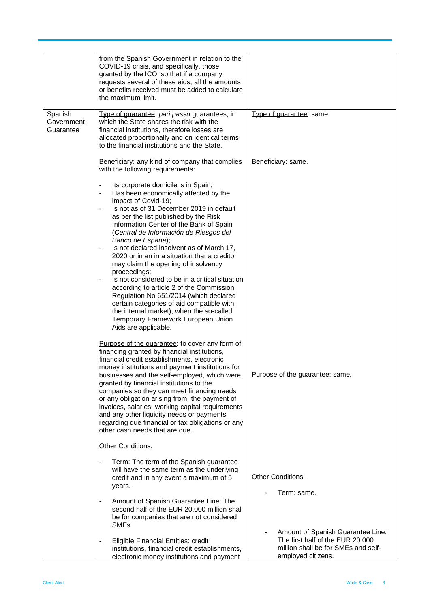|                                    | from the Spanish Government in relation to the<br>COVID-19 crisis, and specifically, those<br>granted by the ICO, so that if a company<br>requests several of these aids, all the amounts<br>or benefits received must be added to calculate<br>the maximum limit.                                                                                                                                                                                                                                                                                                                                                                                                                                                                                                                                                                                                                 |                                                                                               |
|------------------------------------|------------------------------------------------------------------------------------------------------------------------------------------------------------------------------------------------------------------------------------------------------------------------------------------------------------------------------------------------------------------------------------------------------------------------------------------------------------------------------------------------------------------------------------------------------------------------------------------------------------------------------------------------------------------------------------------------------------------------------------------------------------------------------------------------------------------------------------------------------------------------------------|-----------------------------------------------------------------------------------------------|
| Spanish<br>Government<br>Guarantee | Type of guarantee: pari passu guarantees, in<br>which the State shares the risk with the<br>financial institutions, therefore losses are<br>allocated proportionally and on identical terms<br>to the financial institutions and the State.                                                                                                                                                                                                                                                                                                                                                                                                                                                                                                                                                                                                                                        | Type of guarantee: same.                                                                      |
|                                    | Beneficiary: any kind of company that complies<br>with the following requirements:                                                                                                                                                                                                                                                                                                                                                                                                                                                                                                                                                                                                                                                                                                                                                                                                 | Beneficiary: same.                                                                            |
|                                    | Its corporate domicile is in Spain;<br>$\qquad \qquad \blacksquare$<br>Has been economically affected by the<br>$\qquad \qquad \blacksquare$<br>impact of Covid-19;<br>Is not as of 31 December 2019 in default<br>as per the list published by the Risk<br>Information Center of the Bank of Spain<br>(Central de Información de Riesgos del<br>Banco de España);<br>Is not declared insolvent as of March 17,<br>$\overline{\phantom{0}}$<br>2020 or in an in a situation that a creditor<br>may claim the opening of insolvency<br>proceedings;<br>Is not considered to be in a critical situation<br>$\qquad \qquad \blacksquare$<br>according to article 2 of the Commission<br>Regulation No 651/2014 (which declared<br>certain categories of aid compatible with<br>the internal market), when the so-called<br>Temporary Framework European Union<br>Aids are applicable. |                                                                                               |
|                                    | Purpose of the guarantee: to cover any form of<br>financing granted by financial institutions,<br>financial credit establishments, electronic<br>money institutions and payment institutions for<br>businesses and the self-employed, which were<br>granted by financial institutions to the<br>companies so they can meet financing needs<br>or any obligation arising from, the payment of<br>invoices, salaries, working capital requirements<br>and any other liquidity needs or payments<br>regarding due financial or tax obligations or any<br>other cash needs that are due.                                                                                                                                                                                                                                                                                               | Purpose of the guarantee: same.                                                               |
|                                    | Other Conditions:                                                                                                                                                                                                                                                                                                                                                                                                                                                                                                                                                                                                                                                                                                                                                                                                                                                                  |                                                                                               |
|                                    | Term: The term of the Spanish guarantee<br>$\overline{\phantom{a}}$<br>will have the same term as the underlying<br>credit and in any event a maximum of 5<br>years.                                                                                                                                                                                                                                                                                                                                                                                                                                                                                                                                                                                                                                                                                                               | Other Conditions:<br>Term: same.                                                              |
|                                    | Amount of Spanish Guarantee Line: The<br>$\overline{\phantom{a}}$<br>second half of the EUR 20.000 million shall<br>be for companies that are not considered<br>SMEs.                                                                                                                                                                                                                                                                                                                                                                                                                                                                                                                                                                                                                                                                                                              | Amount of Spanish Guarantee Line:                                                             |
|                                    | <b>Eligible Financial Entities: credit</b><br>$\overline{\phantom{a}}$<br>institutions, financial credit establishments,<br>electronic money institutions and payment                                                                                                                                                                                                                                                                                                                                                                                                                                                                                                                                                                                                                                                                                                              | The first half of the EUR 20.000<br>million shall be for SMEs and self-<br>employed citizens. |